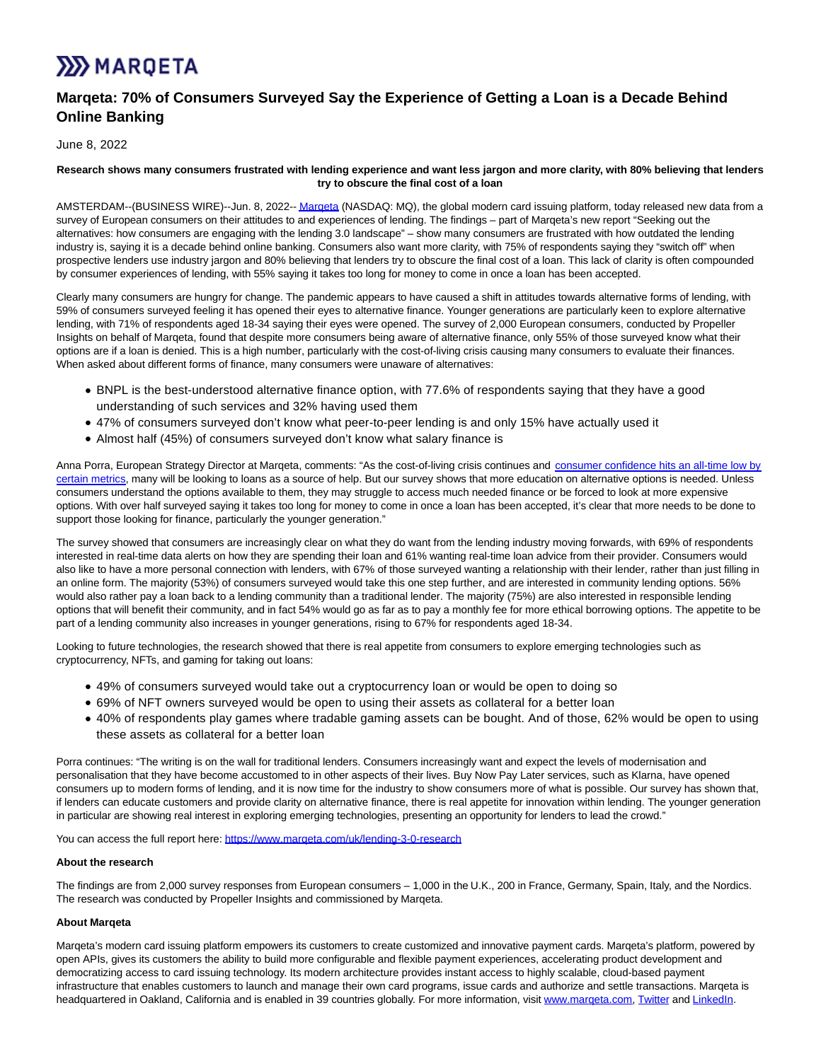# **XX** MARQETA

## **Marqeta: 70% of Consumers Surveyed Say the Experience of Getting a Loan is a Decade Behind Online Banking**

June 8, 2022

#### **Research shows many consumers frustrated with lending experience and want less jargon and more clarity, with 80% believing that lenders try to obscure the final cost of a loan**

AMSTERDAM--(BUSINESS WIRE)--Jun. 8, 2022-[- Marqeta \(](https://cts.businesswire.com/ct/CT?id=smartlink&url=https%3A%2F%2Fwww.marqeta.com%2Fuk&esheet=52742599&newsitemid=20220608005162&lan=en-US&anchor=Marqeta&index=1&md5=61866aac603d06e285926e3d5fac8130)NASDAQ: MQ), the global modern card issuing platform, today released new data from a survey of European consumers on their attitudes to and experiences of lending. The findings – part of Marqeta's new report "Seeking out the alternatives: how consumers are engaging with the lending 3.0 landscape" – show many consumers are frustrated with how outdated the lending industry is, saying it is a decade behind online banking. Consumers also want more clarity, with 75% of respondents saying they "switch off" when prospective lenders use industry jargon and 80% believing that lenders try to obscure the final cost of a loan. This lack of clarity is often compounded by consumer experiences of lending, with 55% saying it takes too long for money to come in once a loan has been accepted.

Clearly many consumers are hungry for change. The pandemic appears to have caused a shift in attitudes towards alternative forms of lending, with 59% of consumers surveyed feeling it has opened their eyes to alternative finance. Younger generations are particularly keen to explore alternative lending, with 71% of respondents aged 18-34 saying their eyes were opened. The survey of 2,000 European consumers, conducted by Propeller Insights on behalf of Marqeta, found that despite more consumers being aware of alternative finance, only 55% of those surveyed know what their options are if a loan is denied. This is a high number, particularly with the cost-of-living crisis causing many consumers to evaluate their finances. When asked about different forms of finance, many consumers were unaware of alternatives:

- BNPL is the best-understood alternative finance option, with 77.6% of respondents saying that they have a good understanding of such services and 32% having used them
- 47% of consumers surveyed don't know what peer-to-peer lending is and only 15% have actually used it
- Almost half (45%) of consumers surveyed don't know what salary finance is

Anna Porra, European Strategy Director at Marqeta, comments: "As the cost-of-living crisis continues and [consumer confidence hits an all-time low by](https://cts.businesswire.com/ct/CT?id=smartlink&url=https%3A%2F%2Fnews.sky.com%2Fstory%2Fcost-of-living-worries-sends-consumer-confidence-into-freefall-says-study-12611019&esheet=52742599&newsitemid=20220608005162&lan=en-US&anchor=consumer+confidence+hits+an+all-time+low+by+certain+metrics&index=2&md5=347fa80d9a54771311542139dcc4d49d) certain metrics, many will be looking to loans as a source of help. But our survey shows that more education on alternative options is needed. Unless consumers understand the options available to them, they may struggle to access much needed finance or be forced to look at more expensive options. With over half surveyed saying it takes too long for money to come in once a loan has been accepted, it's clear that more needs to be done to support those looking for finance, particularly the younger generation."

The survey showed that consumers are increasingly clear on what they do want from the lending industry moving forwards, with 69% of respondents interested in real-time data alerts on how they are spending their loan and 61% wanting real-time loan advice from their provider. Consumers would also like to have a more personal connection with lenders, with 67% of those surveyed wanting a relationship with their lender, rather than just filling in an online form. The majority (53%) of consumers surveyed would take this one step further, and are interested in community lending options. 56% would also rather pay a loan back to a lending community than a traditional lender. The majority (75%) are also interested in responsible lending options that will benefit their community, and in fact 54% would go as far as to pay a monthly fee for more ethical borrowing options. The appetite to be part of a lending community also increases in younger generations, rising to 67% for respondents aged 18-34.

Looking to future technologies, the research showed that there is real appetite from consumers to explore emerging technologies such as cryptocurrency, NFTs, and gaming for taking out loans:

- 49% of consumers surveyed would take out a cryptocurrency loan or would be open to doing so
- 69% of NFT owners surveyed would be open to using their assets as collateral for a better loan
- 40% of respondents play games where tradable gaming assets can be bought. And of those, 62% would be open to using these assets as collateral for a better loan

Porra continues: "The writing is on the wall for traditional lenders. Consumers increasingly want and expect the levels of modernisation and personalisation that they have become accustomed to in other aspects of their lives. Buy Now Pay Later services, such as Klarna, have opened consumers up to modern forms of lending, and it is now time for the industry to show consumers more of what is possible. Our survey has shown that, if lenders can educate customers and provide clarity on alternative finance, there is real appetite for innovation within lending. The younger generation in particular are showing real interest in exploring emerging technologies, presenting an opportunity for lenders to lead the crowd."

You can access the full report here: https://www.margeta.com/uk/lending-3-0-research

#### **About the research**

The findings are from 2,000 survey responses from European consumers – 1,000 in the U.K., 200 in France, Germany, Spain, Italy, and the Nordics. The research was conducted by Propeller Insights and commissioned by Marqeta.

#### **About Marqeta**

Marqeta's modern card issuing platform empowers its customers to create customized and innovative payment cards. Marqeta's platform, powered by open APIs, gives its customers the ability to build more configurable and flexible payment experiences, accelerating product development and democratizing access to card issuing technology. Its modern architecture provides instant access to highly scalable, cloud-based payment infrastructure that enables customers to launch and manage their own card programs, issue cards and authorize and settle transactions. Marqeta is headquartered in Oakland, California and is enabled in 39 countries globally. For more information, visit www.margeta.com, [Twitter a](https://cts.businesswire.com/ct/CT?id=smartlink&url=https%3A%2F%2Ftwitter.com%2FMarqeta&esheet=52742599&newsitemid=20220608005162&lan=en-US&anchor=Twitter&index=5&md5=93d9286a86403bde149248e84bf8b5c9)nd [LinkedIn.](https://cts.businesswire.com/ct/CT?id=smartlink&url=https%3A%2F%2Fwww.linkedin.com%2Fcompany%2Fmarqeta-inc%2F&esheet=52742599&newsitemid=20220608005162&lan=en-US&anchor=LinkedIn&index=6&md5=3782bad42f57a5f6ae5d21798719e0fb)